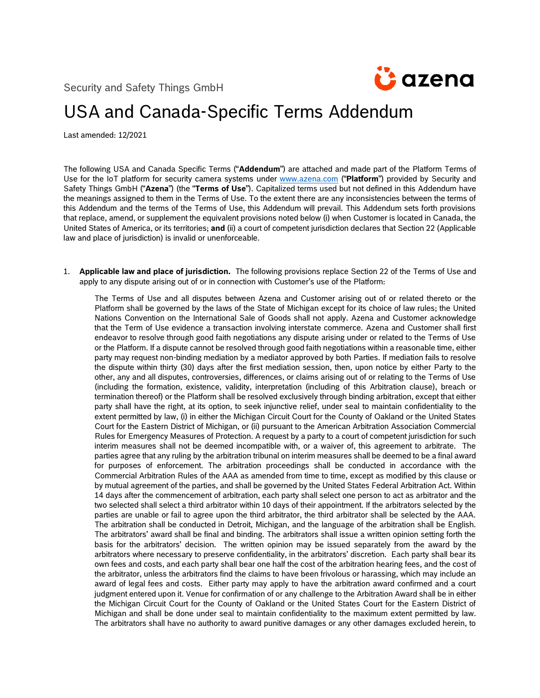Security and Safety Things GmbH



## USA and Canada-Specific Terms Addendum

Last amended: 12/2021

The following USA and Canada Specific Terms ("**Addendum**") are attached and made part of the Platform Terms of Use for the IoT platform for security camera systems under [www.azena.com](http://www.azena.com/) ("**Platform**") provided by Security and Safety Things GmbH ("**Azena**") (the "**Terms of Use**"). Capitalized terms used but not defined in this Addendum have the meanings assigned to them in the Terms of Use. To the extent there are any inconsistencies between the terms of this Addendum and the terms of the Terms of Use, this Addendum will prevail. This Addendum sets forth provisions that replace, amend, or supplement the equivalent provisions noted below (i) when Customer is located in Canada, the United States of America, or its territories; **and** (ii) a court of competent jurisdiction declares that Section 22 (Applicable law and place of jurisdiction) is invalid or unenforceable.

1. **Applicable law and place of jurisdiction.** The following provisions replace Section 22 of the Terms of Use and apply to any dispute arising out of or in connection with Customer's use of the Platform:

The Terms of Use and all disputes between Azena and Customer arising out of or related thereto or the Platform shall be governed by the laws of the State of Michigan except for its choice of law rules; the United Nations Convention on the International Sale of Goods shall not apply. Azena and Customer acknowledge that the Term of Use evidence a transaction involving interstate commerce. Azena and Customer shall first endeavor to resolve through good faith negotiations any dispute arising under or related to the Terms of Use or the Platform. If a dispute cannot be resolved through good faith negotiations within a reasonable time, either party may request non-binding mediation by a mediator approved by both Parties. If mediation fails to resolve the dispute within thirty (30) days after the first mediation session, then, upon notice by either Party to the other, any and all disputes, controversies, differences, or claims arising out of or relating to the Terms of Use (including the formation, existence, validity, interpretation (including of this Arbitration clause), breach or termination thereof) or the Platform shall be resolved exclusively through binding arbitration, except that either party shall have the right, at its option, to seek injunctive relief, under seal to maintain confidentiality to the extent permitted by law, (i) in either the Michigan Circuit Court for the County of Oakland or the United States Court for the Eastern District of Michigan, or (ii) pursuant to the American Arbitration Association Commercial Rules for Emergency Measures of Protection. A request by a party to a court of competent jurisdiction for such interim measures shall not be deemed incompatible with, or a waiver of, this agreement to arbitrate. The parties agree that any ruling by the arbitration tribunal on interim measures shall be deemed to be a final award for purposes of enforcement. The arbitration proceedings shall be conducted in accordance with the Commercial Arbitration Rules of the AAA as amended from time to time, except as modified by this clause or by mutual agreement of the parties, and shall be governed by the United States Federal Arbitration Act. Within 14 days after the commencement of arbitration, each party shall select one person to act as arbitrator and the two selected shall select a third arbitrator within 10 days of their appointment. If the arbitrators selected by the parties are unable or fail to agree upon the third arbitrator, the third arbitrator shall be selected by the AAA. The arbitration shall be conducted in Detroit, Michigan, and the language of the arbitration shall be English. The arbitrators' award shall be final and binding. The arbitrators shall issue a written opinion setting forth the basis for the arbitrators' decision. The written opinion may be issued separately from the award by the arbitrators where necessary to preserve confidentiality, in the arbitrators' discretion. Each party shall bear its own fees and costs, and each party shall bear one half the cost of the arbitration hearing fees, and the cost of the arbitrator, unless the arbitrators find the claims to have been frivolous or harassing, which may include an award of legal fees and costs. Either party may apply to have the arbitration award confirmed and a court judgment entered upon it. Venue for confirmation of or any challenge to the Arbitration Award shall be in either the Michigan Circuit Court for the County of Oakland or the United States Court for the Eastern District of Michigan and shall be done under seal to maintain confidentiality to the maximum extent permitted by law. The arbitrators shall have no authority to award punitive damages or any other damages excluded herein, to